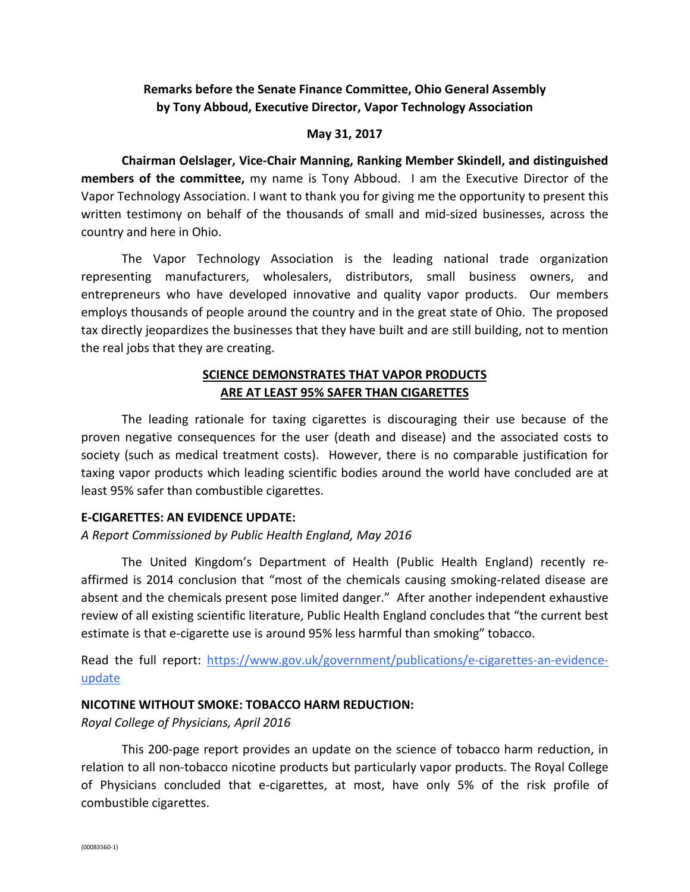# **Remarks before the Senate Finance Committee, Ohio General Assembly by Tony Abboud, Executive Director, Vapor Technology Association**

#### **May 31, 2017**

**Chairman Oelslager, Vice-Chair Manning, Ranking Member Skindell, and distinguished members of the committee,** my name is Tony Abboud. I am the Executive Director of the Vapor Technology Association. I want to thank you for giving me the opportunity to present this written testimony on behalf of the thousands of small and mid-sized businesses, across the country and here in Ohio.

The Vapor Technology Association is the leading national trade organization representing manufacturers, wholesalers, distributors, small business owners, and entrepreneurs who have developed innovative and quality vapor products. Our members employs thousands of people around the country and in the great state of Ohio. The proposed tax directly jeopardizes the businesses that they have built and are still building, not to mention the real jobs that they are creating.

# **SCIENCE DEMONSTRATES THAT VAPOR PRODUCTS ARE AT LEAST 95% SAFER THAN CIGARETTES**

The leading rationale for taxing cigarettes is discouraging their use because of the proven negative consequences for the user (death and disease) and the associated costs to society (such as medical treatment costs). However, there is no comparable justification for taxing vapor products which leading scientific bodies around the world have concluded are at least 95% safer than combustible cigarettes.

#### **E-CIGARETTES: AN EVIDENCE UPDATE:**

### *A Report Commissioned by Public Health England, May 2016*

The United Kingdom's Department of Health (Public Health England) recently reaffirmed is 2014 conclusion that "most of the chemicals causing smoking-related disease are absent and the chemicals present pose limited danger." After another independent exhaustive review of all existing scientific literature, Public Health England concludes that "the current best estimate is that e-cigarette use is around 95% less harmful than smoking" tobacco.

Read the full report: [https://www.gov.uk/government/publications/e-cigarettes-an-evidence](https://www.gov.uk/government/publications/e-cigarettes-an-evidence-update)[update](https://www.gov.uk/government/publications/e-cigarettes-an-evidence-update)

#### **NICOTINE WITHOUT SMOKE: TOBACCO HARM REDUCTION:**

*Royal College of Physicians, April 2016*

This 200-page report provides an update on the science of tobacco harm reduction, in relation to all non-tobacco nicotine products but particularly vapor products. The Royal College of Physicians concluded that e-cigarettes, at most, have only 5% of the risk profile of combustible cigarettes.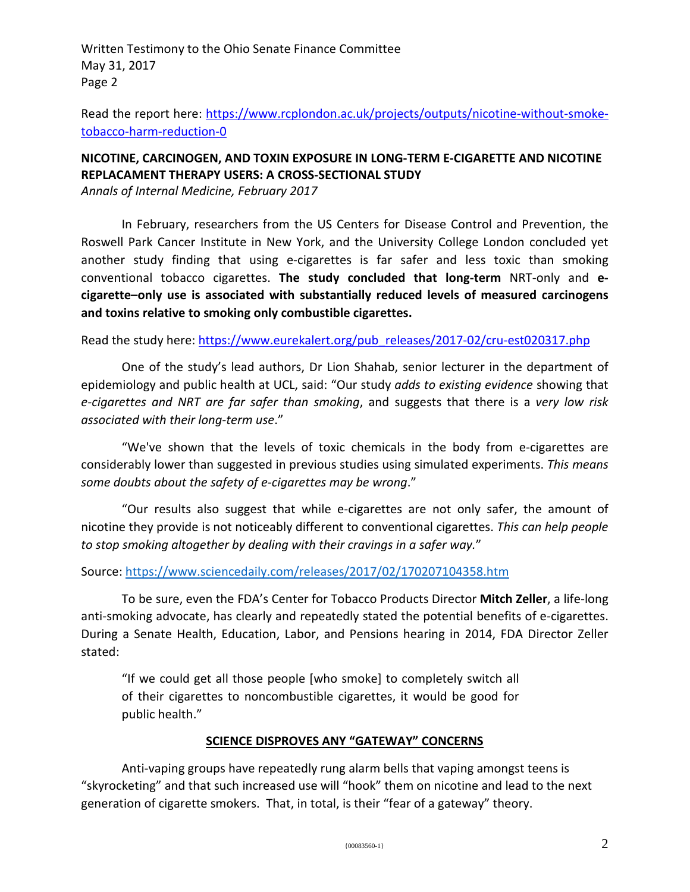Written Testimony to the Ohio Senate Finance Committee May 31, 2017 Page 2

Read the report here: [https://www.rcplondon.ac.uk/projects/outputs/nicotine-without-smoke](https://www.rcplondon.ac.uk/projects/outputs/nicotine-without-smoke-tobacco-harm-reduction-0)[tobacco-harm-reduction-0](https://www.rcplondon.ac.uk/projects/outputs/nicotine-without-smoke-tobacco-harm-reduction-0)

# **NICOTINE, CARCINOGEN, AND TOXIN EXPOSURE IN LONG-TERM E-CIGARETTE AND NICOTINE REPLACAMENT THERAPY USERS: A CROSS-SECTIONAL STUDY**

*Annals of Internal Medicine, February 2017*

In February, researchers from the US Centers for Disease Control and Prevention, the Roswell Park Cancer Institute in New York, and the University College London concluded yet another study finding that using e-cigarettes is far safer and less toxic than smoking conventional tobacco cigarettes. **The study concluded that long-term** NRT-only and **ecigarette–only use is associated with substantially reduced levels of measured carcinogens and toxins relative to smoking only combustible cigarettes.** 

Read the study here: [https://www.eurekalert.org/pub\\_releases/2017-02/cru-est020317.php](https://www.eurekalert.org/pub_releases/2017-02/cru-est020317.php)

One of the study's lead authors, Dr Lion Shahab, senior lecturer in the department of epidemiology and public health at UCL, said: "Our study *adds to existing evidence* showing that *e-cigarettes and NRT are far safer than smoking*, and suggests that there is a *very low risk associated with their long-term use*."

"We've shown that the levels of toxic chemicals in the body from e-cigarettes are considerably lower than suggested in previous studies using simulated experiments. *This means some doubts about the safety of e-cigarettes may be wrong*."

"Our results also suggest that while e-cigarettes are not only safer, the amount of nicotine they provide is not noticeably different to conventional cigarettes. *This can help people to stop smoking altogether by dealing with their cravings in a safer way.*"

Source:<https://www.sciencedaily.com/releases/2017/02/170207104358.htm>

To be sure, even the FDA's Center for Tobacco Products Director **Mitch Zeller**, a life-long anti-smoking advocate, has clearly and repeatedly stated the potential benefits of e-cigarettes. During a Senate Health, Education, Labor, and Pensions hearing in 2014, FDA Director Zeller stated:

"If we could get all those people [who smoke] to completely switch all of their cigarettes to noncombustible cigarettes, it would be good for public health."

#### **SCIENCE DISPROVES ANY "GATEWAY" CONCERNS**

Anti-vaping groups have repeatedly rung alarm bells that vaping amongst teens is "skyrocketing" and that such increased use will "hook" them on nicotine and lead to the next generation of cigarette smokers. That, in total, is their "fear of a gateway" theory.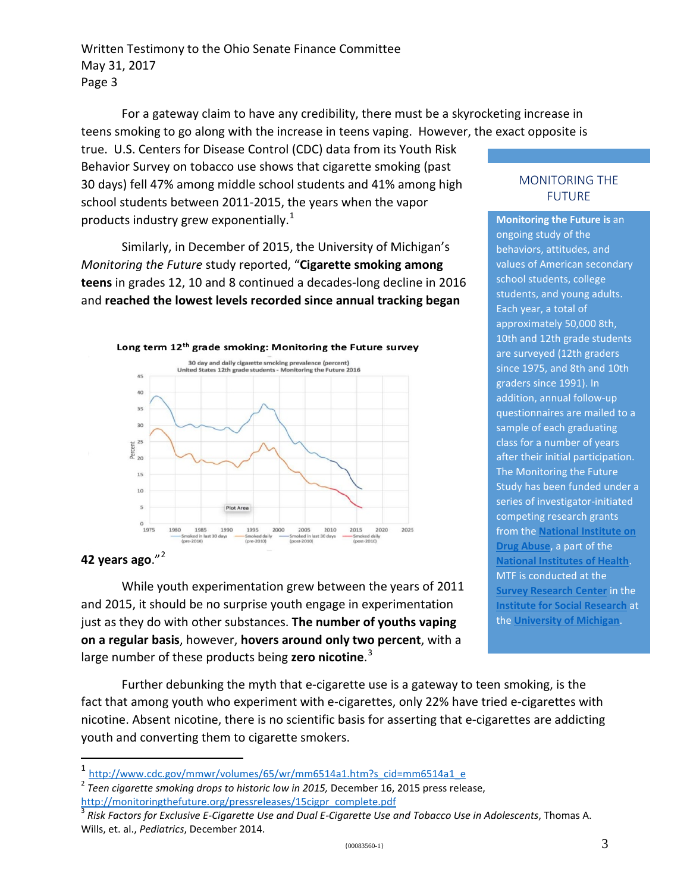Written Testimony to the Ohio Senate Finance Committee May 31, 2017 Page 3

For a gateway claim to have any credibility, there must be a skyrocketing increase in teens smoking to go along with the increase in teens vaping. However, the exact opposite is

true. U.S. Centers for Disease Control (CDC) data from its Youth Risk Behavior Survey on tobacco use shows that cigarette smoking (past 30 days) fell 47% among middle school students and 41% among high school students between 2011-2015, the years when the vapor products industry grew exponentially. $1$ 

Similarly, in December of 2015, the University of Michigan's *Monitoring the Future* study reported, "**Cigarette smoking among teens** in grades 12, 10 and 8 continued a decades-long decline in 2016 and **reached the lowest levels recorded since annual tracking began** 



### **42 years ago**."[2](#page-2-1)

While youth experimentation grew between the years of 2011 and 2015, it should be no surprise youth engage in experimentation just as they do with other substances. **The number of youths vaping on a regular basis**, however, **hovers around only two percent**, with a large number of these products being **zero nicotine**. [3](#page-2-2)

Further debunking the myth that e-cigarette use is a gateway to te[en s](http://monitoringthefuture.org/)moking, is the fact that among youth who experiment with e-cigarettes, only 22% have tried e-cigarettes with nicotine. Absent nicotine, there is no scientific basis for asserting that e-cigarettes are addicting youth and converting them to cigarette smokers.

#### MONITORING THE FUTURE

**Monitoring the Future is** an ongoing study of the behaviors, attitudes, and values of American secondary school students, college students, and young adults. Each year, a total of approximately 50,000 8th, 10th and 12th grade students are surveyed (12th graders since 1975, and 8th and 10th graders since 1991). In addition, annual follow-up questionnaires are mailed to a sample of each graduating class for a number of years after their initial participation. The Monitoring the Future Study has been funded under a series of investigator-initiated competing research grants from the **[National Institute on](http://www.nida.nih.gov/)  [Drug Abuse](http://www.nida.nih.gov/)**, a part of the **[National Institutes of Health](http://www.nih.gov/)**. MTF is conducted at the **[Survey Research Center](http://www.isr.umich.edu/src)** in the **[Institute for Social Research](http://www.isr.umich.edu/)** at the **[University of Michigan](http://www.umich.edu/)**.

<span id="page-2-0"></span><sup>&</sup>lt;sup>1</sup> [http://www.cdc.gov/mmwr/volumes/65/wr/mm6514a1.htm?s\\_cid=mm6514a1\\_e](http://www.cdc.gov/mmwr/volumes/65/wr/mm6514a1.htm?s_cid=mm6514a1_e)

<span id="page-2-1"></span><sup>2</sup> *Teen cigarette smoking drops to historic low in 2015,* December 16, 2015 press release, [http://monitoringthefuture.org/pressreleases/15cigpr\\_complete.pdf](http://monitoringthefuture.org/pressreleases/15cigpr_complete.pdf)

<span id="page-2-2"></span><sup>3</sup> *Risk Factors for Exclusive E-Cigarette Use and Dual E-Cigarette Use and Tobacco Use in Adolescents*, Thomas A. Wills, et. al., *Pediatrics*, December 2014.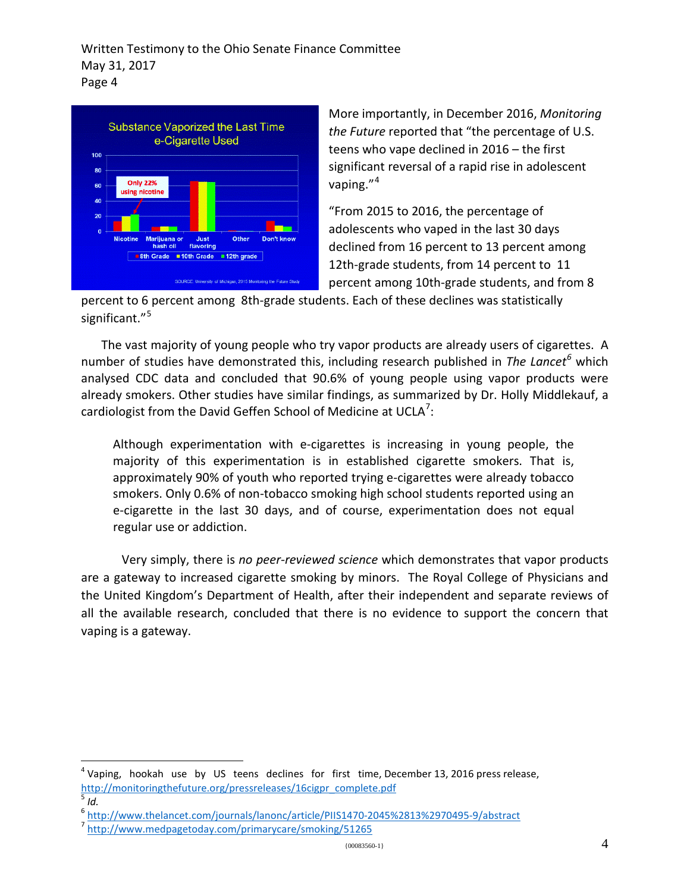

More importantly, in December 2016, *Monitoring the Future* reported that "the percentage of U.S. teens who vape declined in 2016 – the first significant reversal of a rapid rise in adolescent vaping."<sup>[4](#page-3-0)</sup>

"From 2015 to 2016, the percentage of adolescents who vaped in the last 30 days declined from 16 percent to 13 percent among 12th-grade students, from 14 percent to 11 percent among 10th-grade students, and from 8

percent to 6 percent among 8th-grade students. Each of these declines was statistically significant."<sup>[5](#page-3-1)</sup>

The vast majority of young people who try vapor products are already users of cigarettes. A number of studies have demonstrated this, including research published in *The Lancet[6](#page-3-2)* which analysed CDC data and concluded that 90.6% of young people using vapor products were already smokers. Other studies have similar findings, as summarized by Dr. Holly Middlekauf, a cardiologist from the David Geffen School of Medicine at UCLA<sup>[7](#page-3-3)</sup>:

Although experimentation with e-cigarettes is increasing in young people, the majority of this experimentation is in established cigarette smokers. That is, approximately 90% of youth who reported trying e-cigarettes were already tobacco smokers. Only 0.6% of non-tobacco smoking high school students reported using an e-cigarette in the last 30 days, and of course, experimentation does not equal regular use or addiction.

Very simply, there is *no peer-reviewed science* which demonstrates that vapor products are a gateway to increased cigarette smoking by minors. The Royal College of Physicians and the United Kingdom's Department of Health, after their independent and separate reviews of all the available research, concluded that there is no evidence to support the concern that vaping is a gateway.

<span id="page-3-0"></span> $4$  Vaping, hookah use by US teens declines for first time, December 13, 2016 press release, [http://monitoringthefuture.org/pressreleases/16cigpr\\_complete.pdf](http://monitoringthefuture.org/pressreleases/16cigpr_complete.pdf)<br><sup>5</sup> *Id.* 

<span id="page-3-1"></span>

<span id="page-3-2"></span><sup>&</sup>lt;sup>6</sup> <http://www.thelancet.com/journals/lanonc/article/PIIS1470-2045%2813%2970495-9/abstract><br><sup>7</sup> <http://www.medpagetoday.com/primarycare/smoking/51265>

<span id="page-3-3"></span>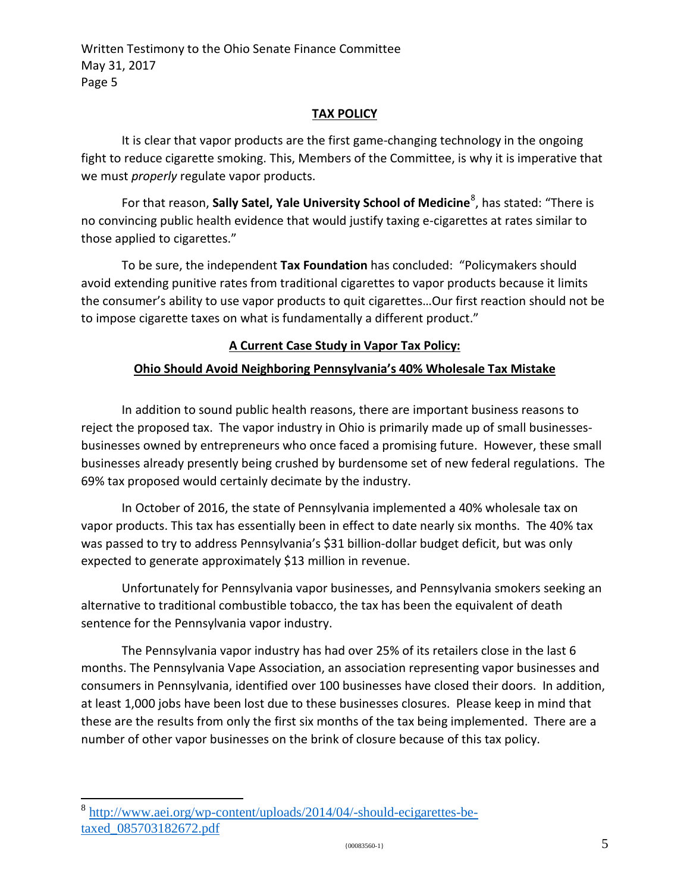### **TAX POLICY**

It is clear that vapor products are the first game-changing technology in the ongoing fight to reduce cigarette smoking. This, Members of the Committee, is why it is imperative that we must *properly* regulate vapor products.

For that reason, Sally Satel, Yale University School of Medicine<sup>[8](#page-4-0)</sup>, has stated: "There is no convincing public health evidence that would justify taxing e-cigarettes at rates similar to those applied to cigarettes."

To be sure, the independent **Tax Foundation** has concluded: "Policymakers should avoid extending punitive rates from traditional cigarettes to vapor products because it limits the consumer's ability to use vapor products to quit cigarettes…Our first reaction should not be to impose cigarette taxes on what is fundamentally a different product."

# **A Current Case Study in Vapor Tax Policy:**

### **Ohio Should Avoid Neighboring Pennsylvania's 40% Wholesale Tax Mistake**

In addition to sound public health reasons, there are important business reasons to reject the proposed tax. The vapor industry in Ohio is primarily made up of small businessesbusinesses owned by entrepreneurs who once faced a promising future. However, these small businesses already presently being crushed by burdensome set of new federal regulations. The 69% tax proposed would certainly decimate by the industry.

In October of 2016, the state of Pennsylvania implemented a 40% wholesale tax on vapor products. This tax has essentially been in effect to date nearly six months. The 40% tax was passed to try to address Pennsylvania's \$31 billion-dollar budget deficit, but was only expected to generate approximately \$13 million in revenue.

Unfortunately for Pennsylvania vapor businesses, and Pennsylvania smokers seeking an alternative to traditional combustible tobacco, the tax has been the equivalent of death sentence for the Pennsylvania vapor industry.

The Pennsylvania vapor industry has had over 25% of its retailers close in the last 6 months. The Pennsylvania Vape Association, an association representing vapor businesses and consumers in Pennsylvania, identified over 100 businesses have closed their doors. In addition, at least 1,000 jobs have been lost due to these businesses closures. Please keep in mind that these are the results from only the first six months of the tax being implemented. There are a number of other vapor businesses on the brink of closure because of this tax policy.

<span id="page-4-0"></span><sup>8</sup> [http://www.aei.org/wp-content/uploads/2014/04/-should-ecigarettes-be](http://www.aei.org/wp-content/uploads/2014/04/-should-ecigarettes-be-taxed_085703182672.pdf)[taxed\\_085703182672.pdf](http://www.aei.org/wp-content/uploads/2014/04/-should-ecigarettes-be-taxed_085703182672.pdf)